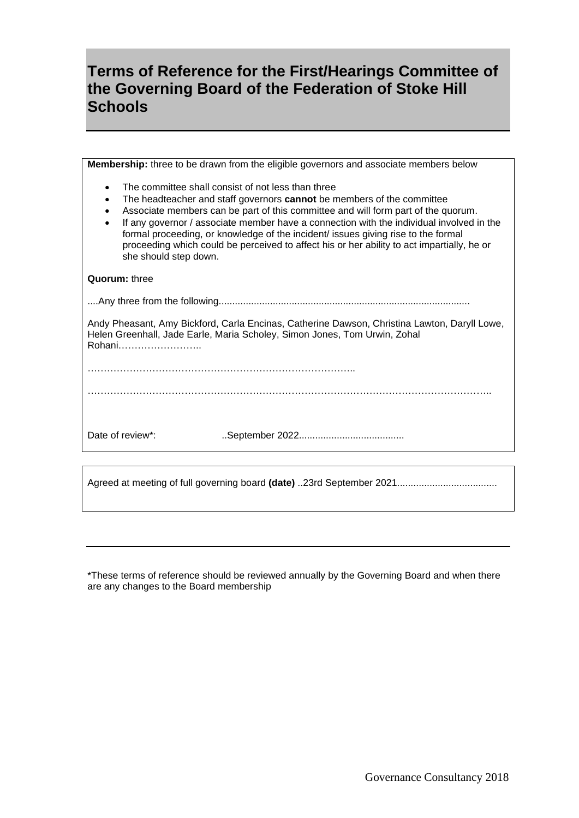## **Terms of Reference for the First/Hearings Committee of the Governing Board of the Federation of Stoke Hill Schools**

| Membership: three to be drawn from the eligible governors and associate members below                                                                                                                                                                                                                                                                                                                                                                                                                                                                                         |
|-------------------------------------------------------------------------------------------------------------------------------------------------------------------------------------------------------------------------------------------------------------------------------------------------------------------------------------------------------------------------------------------------------------------------------------------------------------------------------------------------------------------------------------------------------------------------------|
| The committee shall consist of not less than three<br>$\bullet$<br>The headteacher and staff governors cannot be members of the committee<br>$\bullet$<br>Associate members can be part of this committee and will form part of the quorum.<br>$\bullet$<br>If any governor / associate member have a connection with the individual involved in the<br>$\bullet$<br>formal proceeding, or knowledge of the incident/ issues giving rise to the formal<br>proceeding which could be perceived to affect his or her ability to act impartially, he or<br>she should step down. |
| <b>Quorum: three</b>                                                                                                                                                                                                                                                                                                                                                                                                                                                                                                                                                          |
|                                                                                                                                                                                                                                                                                                                                                                                                                                                                                                                                                                               |
| Andy Pheasant, Amy Bickford, Carla Encinas, Catherine Dawson, Christina Lawton, Daryll Lowe,<br>Helen Greenhall, Jade Earle, Maria Scholey, Simon Jones, Tom Urwin, Zohal<br>Rohani                                                                                                                                                                                                                                                                                                                                                                                           |
|                                                                                                                                                                                                                                                                                                                                                                                                                                                                                                                                                                               |
|                                                                                                                                                                                                                                                                                                                                                                                                                                                                                                                                                                               |
| Date of review*:                                                                                                                                                                                                                                                                                                                                                                                                                                                                                                                                                              |
|                                                                                                                                                                                                                                                                                                                                                                                                                                                                                                                                                                               |
|                                                                                                                                                                                                                                                                                                                                                                                                                                                                                                                                                                               |

\*These terms of reference should be reviewed annually by the Governing Board and when there are any changes to the Board membership